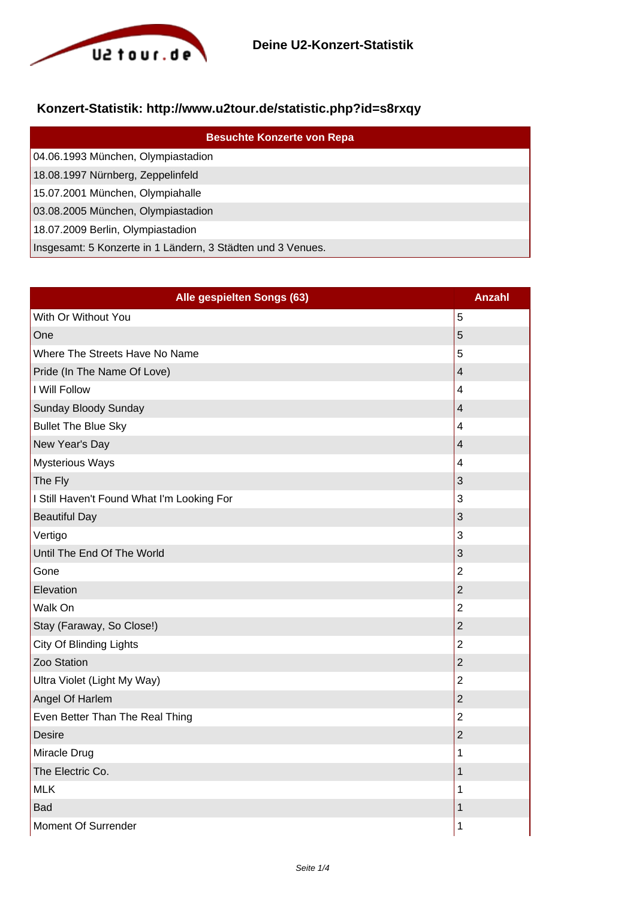

## **Konzert-Statistik: http://www.u2tour.de/statistic.php?id=s8rxqy**

| <b>Besuchte Konzerte von Repa</b>                           |
|-------------------------------------------------------------|
| 04.06.1993 München, Olympiastadion                          |
| 18.08.1997 Nürnberg, Zeppelinfeld                           |
| 15.07.2001 München, Olympiahalle                            |
| 03.08.2005 München, Olympiastadion                          |
| 18.07.2009 Berlin, Olympiastadion                           |
| Insgesamt: 5 Konzerte in 1 Ländern, 3 Städten und 3 Venues. |

| Alle gespielten Songs (63)                 | <b>Anzahl</b>           |
|--------------------------------------------|-------------------------|
| With Or Without You                        | 5                       |
| One                                        | 5                       |
| Where The Streets Have No Name             | 5                       |
| Pride (In The Name Of Love)                | $\overline{\mathbf{4}}$ |
| I Will Follow                              | $\overline{\mathbf{4}}$ |
| <b>Sunday Bloody Sunday</b>                | $\overline{4}$          |
| <b>Bullet The Blue Sky</b>                 | 4                       |
| New Year's Day                             | $\overline{\mathbf{4}}$ |
| <b>Mysterious Ways</b>                     | $\overline{4}$          |
| The Fly                                    | 3                       |
| I Still Haven't Found What I'm Looking For | 3                       |
| <b>Beautiful Day</b>                       | 3                       |
| Vertigo                                    | 3                       |
| Until The End Of The World                 | 3                       |
| Gone                                       | $\overline{2}$          |
| Elevation                                  | $\overline{2}$          |
| Walk On                                    | $\overline{2}$          |
| Stay (Faraway, So Close!)                  | $\overline{2}$          |
| City Of Blinding Lights                    | $\overline{2}$          |
| Zoo Station                                | $\overline{2}$          |
| Ultra Violet (Light My Way)                | $\overline{2}$          |
| Angel Of Harlem                            | $\overline{2}$          |
| Even Better Than The Real Thing            | $\overline{2}$          |
| <b>Desire</b>                              | $\overline{2}$          |
| Miracle Drug                               | 1                       |
| The Electric Co.                           | $\mathbf{1}$            |
| <b>MLK</b>                                 | 1                       |
| <b>Bad</b>                                 | 1                       |
| <b>Moment Of Surrender</b>                 | 1                       |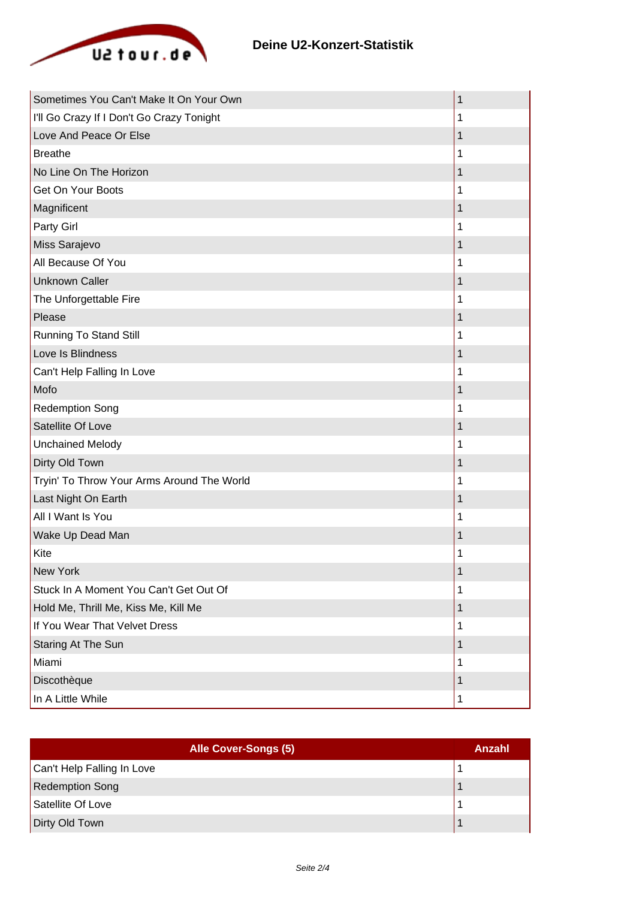

| Sometimes You Can't Make It On Your Own    | 1 |
|--------------------------------------------|---|
| I'll Go Crazy If I Don't Go Crazy Tonight  | 1 |
| Love And Peace Or Else                     | 1 |
| <b>Breathe</b>                             | 1 |
| No Line On The Horizon                     | 1 |
| Get On Your Boots                          | 1 |
| Magnificent                                | 1 |
| Party Girl                                 |   |
| Miss Sarajevo                              | 1 |
| All Because Of You                         | 1 |
| <b>Unknown Caller</b>                      | 1 |
| The Unforgettable Fire                     | 1 |
| Please                                     |   |
| Running To Stand Still                     | 1 |
| Love Is Blindness                          | 1 |
| Can't Help Falling In Love                 | 1 |
| Mofo                                       |   |
| <b>Redemption Song</b>                     | 1 |
| Satellite Of Love                          | 1 |
| <b>Unchained Melody</b>                    |   |
| Dirty Old Town                             | 1 |
| Tryin' To Throw Your Arms Around The World | 1 |
| Last Night On Earth                        | 1 |
| All I Want Is You                          | 1 |
| Wake Up Dead Man                           | 1 |
| Kite                                       |   |
| New York                                   | 1 |
| Stuck In A Moment You Can't Get Out Of     | 1 |
| Hold Me, Thrill Me, Kiss Me, Kill Me       | 1 |
| If You Wear That Velvet Dress              | 1 |
| Staring At The Sun                         | 1 |
| Miami                                      | 1 |
| Discothèque                                | 1 |
| In A Little While                          | 1 |

| Alle Cover-Songs (5)       | Anzahl |
|----------------------------|--------|
| Can't Help Falling In Love |        |
| <b>Redemption Song</b>     |        |
| Satellite Of Love          |        |
| Dirty Old Town             |        |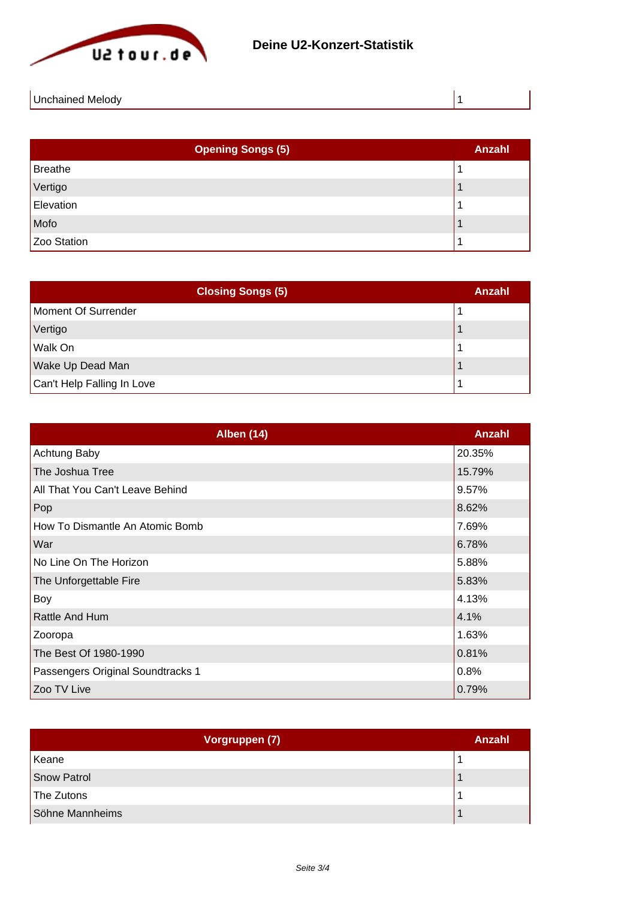

| -In<br>Melody<br>. |  |
|--------------------|--|
|                    |  |

| <b>Opening Songs (5)</b> | <b>Anzahl</b> |
|--------------------------|---------------|
| Breathe                  |               |
| Vertigo                  |               |
| Elevation                |               |
| Mofo                     |               |
| Zoo Station              |               |

| <b>Closing Songs (5)</b>   | Anzahl |
|----------------------------|--------|
| Moment Of Surrender        |        |
| Vertigo                    |        |
| Walk On                    |        |
| Wake Up Dead Man           |        |
| Can't Help Falling In Love |        |

| <b>Alben (14)</b>                 | Anzahl |
|-----------------------------------|--------|
| Achtung Baby                      | 20.35% |
| The Joshua Tree                   | 15.79% |
| All That You Can't Leave Behind   | 9.57%  |
| Pop                               | 8.62%  |
| How To Dismantle An Atomic Bomb   | 7.69%  |
| War                               | 6.78%  |
| No Line On The Horizon            | 5.88%  |
| The Unforgettable Fire            | 5.83%  |
| Boy                               | 4.13%  |
| Rattle And Hum                    | 4.1%   |
| Zooropa                           | 1.63%  |
| The Best Of 1980-1990             | 0.81%  |
| Passengers Original Soundtracks 1 | 0.8%   |
| Zoo TV Live                       | 0.79%  |

| Vorgruppen (7)     | <b>Anzahl</b> |
|--------------------|---------------|
| Keane              |               |
| <b>Snow Patrol</b> |               |
| The Zutons         |               |
| Söhne Mannheims    |               |